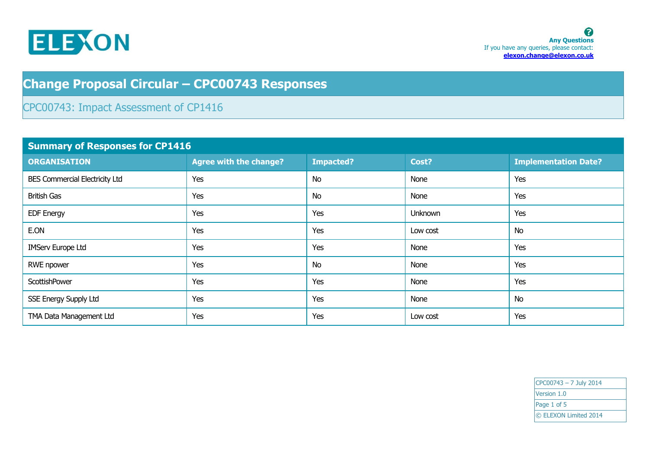

## **Change Proposal Circular – CPC00743 Responses**

## CPC00743: Impact Assessment of CP1416

| <b>Summary of Responses for CP1416</b> |                               |                  |          |                             |  |
|----------------------------------------|-------------------------------|------------------|----------|-----------------------------|--|
| <b>ORGANISATION</b>                    | <b>Agree with the change?</b> | <b>Impacted?</b> | Cost?    | <b>Implementation Date?</b> |  |
| <b>BES Commercial Electricity Ltd</b>  | Yes                           | <b>No</b>        | None     | Yes                         |  |
| <b>British Gas</b>                     | Yes                           | <b>No</b>        | None     | Yes                         |  |
| <b>EDF Energy</b>                      | Yes                           | Yes              | Unknown  | Yes                         |  |
| E.ON                                   | Yes                           | Yes              | Low cost | <b>No</b>                   |  |
| <b>IMServ Europe Ltd</b>               | Yes                           | Yes              | None     | Yes                         |  |
| RWE npower                             | Yes                           | <b>No</b>        | None     | Yes                         |  |
| ScottishPower                          | Yes                           | Yes              | None     | Yes                         |  |
| SSE Energy Supply Ltd                  | Yes                           | Yes              | None     | <b>No</b>                   |  |
| TMA Data Management Ltd                | Yes                           | Yes              | Low cost | Yes                         |  |

 $CPC00743 - 7$  July 2014 Version 1.0 Page 1 of 5 © ELEXON Limited 2014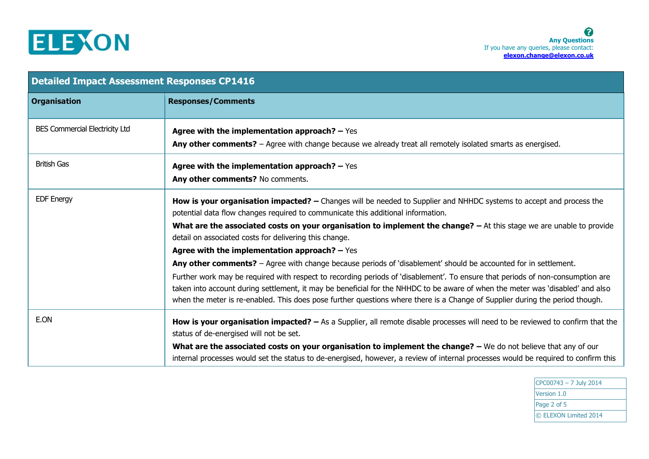

| <b>Detailed Impact Assessment Responses CP1416</b> |                                                                                                                                                                                                                                                                                                                                                                                                  |  |
|----------------------------------------------------|--------------------------------------------------------------------------------------------------------------------------------------------------------------------------------------------------------------------------------------------------------------------------------------------------------------------------------------------------------------------------------------------------|--|
| <b>Organisation</b>                                | <b>Responses/Comments</b>                                                                                                                                                                                                                                                                                                                                                                        |  |
| <b>BES Commercial Electricity Ltd</b>              | Agree with the implementation approach? $-$ Yes<br>Any other comments? - Agree with change because we already treat all remotely isolated smarts as energised.                                                                                                                                                                                                                                   |  |
| <b>British Gas</b>                                 | Agree with the implementation approach? $-$ Yes<br>Any other comments? No comments.                                                                                                                                                                                                                                                                                                              |  |
| <b>EDF Energy</b>                                  | How is your organisation impacted? - Changes will be needed to Supplier and NHHDC systems to accept and process the<br>potential data flow changes required to communicate this additional information.                                                                                                                                                                                          |  |
|                                                    | What are the associated costs on your organisation to implement the change? - At this stage we are unable to provide<br>detail on associated costs for delivering this change.                                                                                                                                                                                                                   |  |
|                                                    | Agree with the implementation approach? $-$ Yes                                                                                                                                                                                                                                                                                                                                                  |  |
|                                                    | Any other comments? - Agree with change because periods of 'disablement' should be accounted for in settlement.                                                                                                                                                                                                                                                                                  |  |
|                                                    | Further work may be required with respect to recording periods of 'disablement'. To ensure that periods of non-consumption are<br>taken into account during settlement, it may be beneficial for the NHHDC to be aware of when the meter was 'disabled' and also<br>when the meter is re-enabled. This does pose further questions where there is a Change of Supplier during the period though. |  |
| E.ON                                               | How is your organisation impacted? $-$ As a Supplier, all remote disable processes will need to be reviewed to confirm that the<br>status of de-energised will not be set.                                                                                                                                                                                                                       |  |
|                                                    | What are the associated costs on your organisation to implement the change? - We do not believe that any of our<br>internal processes would set the status to de-energised, however, a review of internal processes would be required to confirm this                                                                                                                                            |  |

CPC00743 – 7 July 2014 Version 1.0 Page 2 of 5 © ELEXON Limited 2014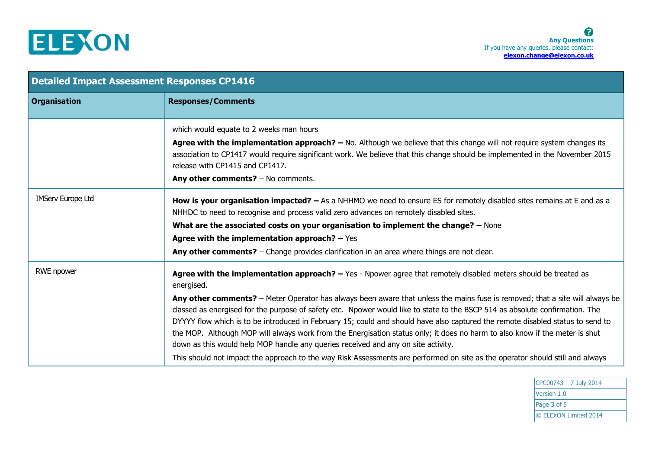

| <b>Detailed Impact Assessment Responses CP1416</b> |                                                                                                                                                                                                                                                                                                                                                                                                                                                                                                                                                                                                                                                                                                                                                                                                                                                                                      |  |
|----------------------------------------------------|--------------------------------------------------------------------------------------------------------------------------------------------------------------------------------------------------------------------------------------------------------------------------------------------------------------------------------------------------------------------------------------------------------------------------------------------------------------------------------------------------------------------------------------------------------------------------------------------------------------------------------------------------------------------------------------------------------------------------------------------------------------------------------------------------------------------------------------------------------------------------------------|--|
| <b>Organisation</b>                                | <b>Responses/Comments</b>                                                                                                                                                                                                                                                                                                                                                                                                                                                                                                                                                                                                                                                                                                                                                                                                                                                            |  |
|                                                    | which would equate to 2 weeks man hours<br>Agree with the implementation approach? $-$ No. Although we believe that this change will not require system changes its<br>association to CP1417 would require significant work. We believe that this change should be implemented in the November 2015<br>release with CP1415 and CP1417.<br>Any other comments? - No comments.                                                                                                                                                                                                                                                                                                                                                                                                                                                                                                         |  |
| <b>IMServ Europe Ltd</b>                           | How is your organisation impacted? - As a NHHMO we need to ensure ES for remotely disabled sites remains at E and as a<br>NHHDC to need to recognise and process valid zero advances on remotely disabled sites.<br>What are the associated costs on your organisation to implement the change? - None<br>Agree with the implementation approach? $-$ Yes<br>Any other comments? - Change provides clarification in an area where things are not clear.                                                                                                                                                                                                                                                                                                                                                                                                                              |  |
| RWE npower                                         | Agree with the implementation approach? - Yes - Npower agree that remotely disabled meters should be treated as<br>energised.<br>Any other comments? - Meter Operator has always been aware that unless the mains fuse is removed; that a site will always be<br>classed as energised for the purpose of safety etc. Npower would like to state to the BSCP 514 as absolute confirmation. The<br>DYYYY flow which is to be introduced in February 15; could and should have also captured the remote disabled status to send to<br>the MOP. Although MOP will always work from the Energisation status only; it does no harm to also know if the meter is shut<br>down as this would help MOP handle any queries received and any on site activity.<br>This should not impact the approach to the way Risk Assessments are performed on site as the operator should still and always |  |

CPC00743 – 7 July 2014 Version 1.0 Page 3 of 5 © ELEXON Limited 2014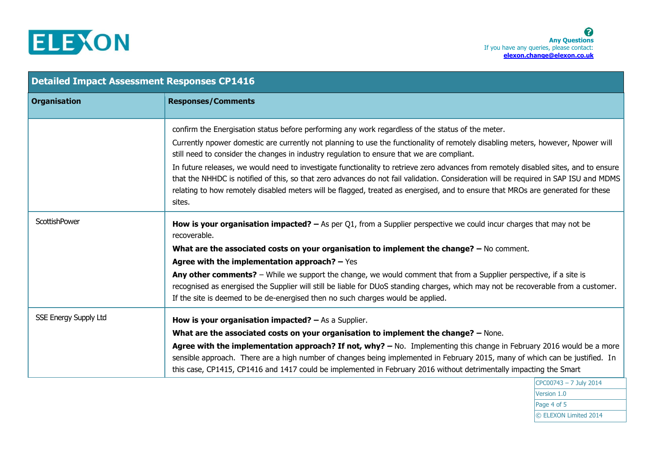

| <b>Detailed Impact Assessment Responses CP1416</b> |                                                                                                                                                                                                                                                                                                                                                                                                                                                                                                                                                                                                                                                                                                                                                                  |  |
|----------------------------------------------------|------------------------------------------------------------------------------------------------------------------------------------------------------------------------------------------------------------------------------------------------------------------------------------------------------------------------------------------------------------------------------------------------------------------------------------------------------------------------------------------------------------------------------------------------------------------------------------------------------------------------------------------------------------------------------------------------------------------------------------------------------------------|--|
| <b>Organisation</b>                                | <b>Responses/Comments</b>                                                                                                                                                                                                                                                                                                                                                                                                                                                                                                                                                                                                                                                                                                                                        |  |
|                                                    | confirm the Energisation status before performing any work regardless of the status of the meter.<br>Currently npower domestic are currently not planning to use the functionality of remotely disabling meters, however, Npower will<br>still need to consider the changes in industry regulation to ensure that we are compliant.<br>In future releases, we would need to investigate functionality to retrieve zero advances from remotely disabled sites, and to ensure<br>that the NHHDC is notified of this, so that zero advances do not fail validation. Consideration will be required in SAP ISU and MDMS<br>relating to how remotely disabled meters will be flagged, treated as energised, and to ensure that MROs are generated for these<br>sites. |  |
| ScottishPower                                      | <b>How is your organisation impacted?</b> $-$ As per Q1, from a Supplier perspective we could incur charges that may not be<br>recoverable.<br>What are the associated costs on your organisation to implement the change? $-$ No comment.<br>Agree with the implementation approach? $-$ Yes<br>Any other comments? - While we support the change, we would comment that from a Supplier perspective, if a site is<br>recognised as energised the Supplier will still be liable for DUoS standing charges, which may not be recoverable from a customer.<br>If the site is deemed to be de-energised then no such charges would be applied.                                                                                                                     |  |
| <b>SSE Energy Supply Ltd</b>                       | How is your organisation impacted? $-$ As a Supplier.<br>What are the associated costs on your organisation to implement the change? - None.<br>Agree with the implementation approach? If not, why? - No. Implementing this change in February 2016 would be a more<br>sensible approach. There are a high number of changes being implemented in February 2015, many of which can be justified. In<br>this case, CP1415, CP1416 and 1417 could be implemented in February 2016 without detrimentally impacting the Smart<br>CPC00743 - 7 July 2014                                                                                                                                                                                                             |  |

CPC00743 – 7 July 2014 Version 1.0 Page 4 of 5 © ELEXON Limited 2014